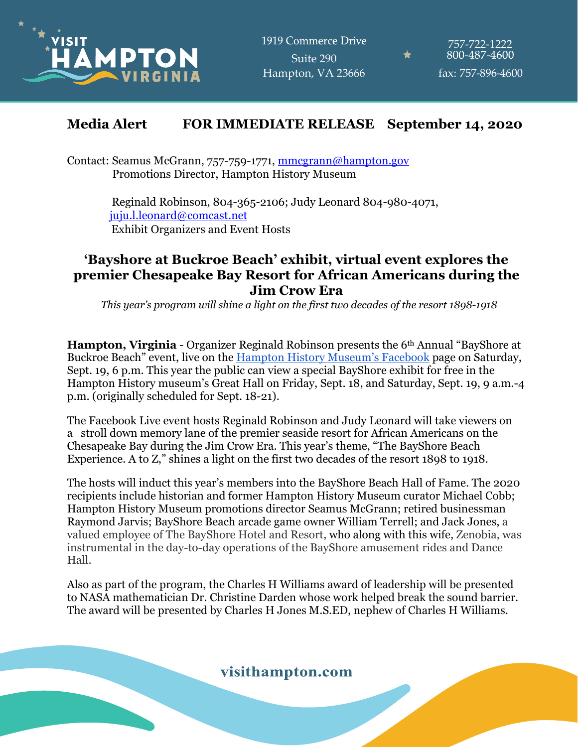

## **Media Alert FOR IMMEDIATE RELEASE September 14, 2020**

Contact: Seamus McGrann, 757-759-1771, [mmcgrann@hampton.gov](mailto:mmcgrann@hampton.gov) Promotions Director, Hampton History Museum

> Reginald Robinson, 804-365-2106; Judy Leonard 804-980-4071, [juju.l.leonard@comcast.net](mailto:juju.l.leonard@comcast.net) Exhibit Organizers and Event Hosts

## **'Bayshore at Buckroe Beach' exhibit, virtual event explores the premier Chesapeake Bay Resort for African Americans during the Jim Crow Era**

*This year's program will shine a light on the first two decades of the resort 1898-1918*

**Hampton, Virginia** - Organizer Reginald Robinson presents the 6<sup>th</sup> Annual "BayShore at Buckroe Beach" event, live on the [Hampton History Museum's Facebook](https://www.facebook.com/HamptonHistoryMuseum.) page on Saturday, Sept. 19, 6 p.m. This year the public can view a special BayShore exhibit for free in the Hampton History museum's Great Hall on Friday, Sept. 18, and Saturday, Sept. 19, 9 a.m.-4 p.m. (originally scheduled for Sept. 18-21).

The Facebook Live event hosts Reginald Robinson and Judy Leonard will take viewers on a stroll down memory lane of the premier seaside resort for African Americans on the Chesapeake Bay during the Jim Crow Era. This year's theme, "The BayShore Beach Experience. A to Z," shines a light on the first two decades of the resort 1898 to 1918.

The hosts will induct this year's members into the BayShore Beach Hall of Fame. The 2020 recipients include historian and former Hampton History Museum curator Michael Cobb; Hampton History Museum promotions director Seamus McGrann; retired businessman Raymond Jarvis; BayShore Beach arcade game owner William Terrell; and Jack Jones, a valued employee of The BayShore Hotel and Resort, who along with this wife, Zenobia, was instrumental in the day-to-day operations of the BayShore amusement rides and Dance Hall.

Also as part of the program, the Charles H Williams award of leadership will be presented to NASA mathematician Dr. Christine Darden whose work helped break the sound barrier. The award will be presented by Charles H Jones M.S.ED, nephew of Charles H Williams.

visithampton.com